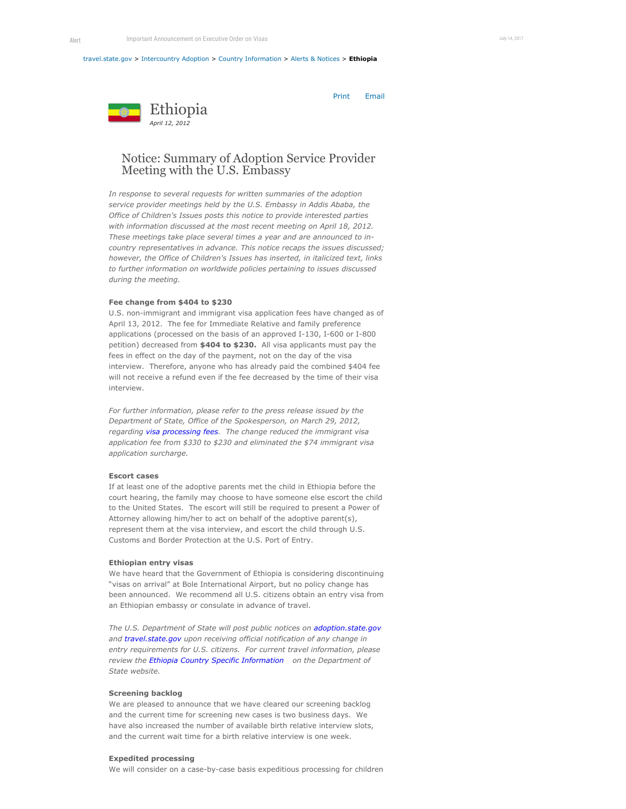#### [travel.state.gov](https://tsgstagingauthor.ca.state.sbu/content/travel/en.html) > [Intercountry Adoption](https://tsgstagingauthor.ca.state.sbu/content/adoptionsabroad/en.html) > [Country Information](https://tsgstagingauthor.ca.state.sbu/content/adoptionsabroad/en/country-information.html) > [Alerts & Notices](https://tsgstagingauthor.ca.state.sbu/content/adoptionsabroad/en/country-information/alerts-and-notices.html) > **Ethiopia**

Print Email



# Notice: Summary of Adoption Service Provider Meeting with the U.S. Embassy

*In response to several requests for written summaries of the adoption service provider meetings held by the U.S. Embassy in Addis Ababa, the Office of Children's Issues posts this notice to provide interested parties with information discussed at the most recent meeting on April 18, 2012. These meetings take place several times a year and are announced to incountry representatives in advance. This notice recaps the issues discussed; however, the Office of Children's Issues has inserted, in italicized text, links to further information on worldwide policies pertaining to issues discussed during the meeting.*

## **Fee change from \$404 to \$230**

U.S. non-immigrant and immigrant visa application fees have changed as of April 13, 2012. The fee for Immediate Relative and family preference applications (processed on the basis of an approved I-130, I-600 or I-800 petition) decreased from **\$404 to \$230.** All visa applicants must pay the fees in effect on the day of the payment, not on the day of the visa interview. Therefore, anyone who has already paid the combined \$404 fee will not receive a refund even if the fee decreased by the time of their visa interview.

*For further information, please refer to the press release issued by the Department of State, Office of the Spokesperson, on March 29, 2012, regarding [visa processing fees](http://www.state.gov/r/pa/prs/ps/2012/03/187114.htm). The change reduced the immigrant visa application fee from \$330 to \$230 and eliminated the \$74 immigrant visa application surcharge.*

## **Escort cases**

If at least one of the adoptive parents met the child in Ethiopia before the court hearing, the family may choose to have someone else escort the child to the United States. The escort will still be required to present a Power of Attorney allowing him/her to act on behalf of the adoptive parent(s), represent them at the visa interview, and escort the child through U.S. Customs and Border Protection at the U.S. Port of Entry.

#### **Ethiopian entry visas**

We have heard that the Government of Ethiopia is considering discontinuing "visas on arrival" at Bole International Airport, but no policy change has been announced. We recommend all U.S. citizens obtain an entry visa from an Ethiopian embassy or consulate in advance of travel.

*The U.S. Department of State will post public notices on [adoption.state.gov](http://adoption.state.gov/) and [travel.state.gov](http://travel.state.gov/) upon receiving official notification of any change in entry requirements for U.S. citizens. For current travel information, please review the [Ethiopia Country Specific Information](http://www.ethiopianembassy.org/) on the Department of State website.*

## **Screening backlog**

We are pleased to announce that we have cleared our screening backlog and the current time for screening new cases is two business days. We have also increased the number of available birth relative interview slots, and the current wait time for a birth relative interview is one week.

# **Expedited processing**

We will consider on a case-by-case basis expeditious processing for children